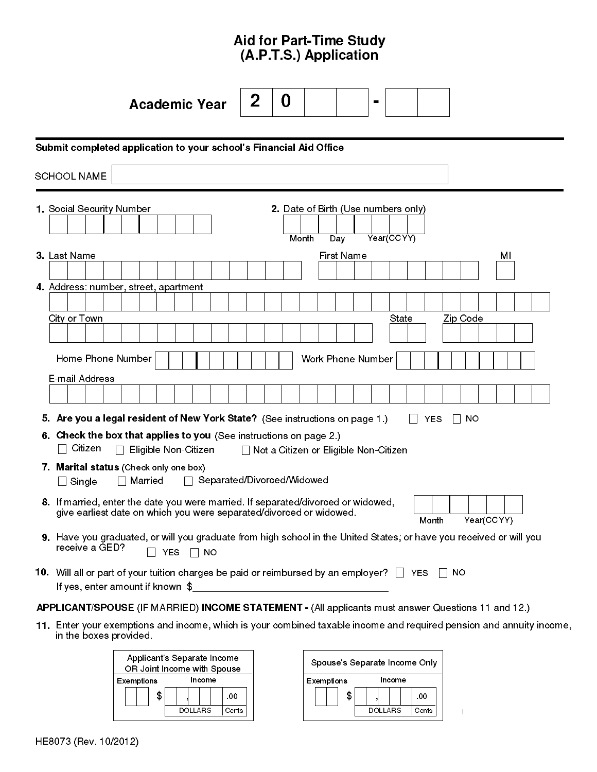# Aid for Part-Time Study (A.P.T.S.) Application

|                           | <b>Academic Year</b>                                                                                                                                     | 2 | 0 |            |                   | $\blacksquare$                          |            |            |                |            |  |
|---------------------------|----------------------------------------------------------------------------------------------------------------------------------------------------------|---|---|------------|-------------------|-----------------------------------------|------------|------------|----------------|------------|--|
|                           |                                                                                                                                                          |   |   |            |                   |                                         |            |            |                |            |  |
|                           | Submit completed application to your school's Financial Aid Office                                                                                       |   |   |            |                   |                                         |            |            |                |            |  |
| <b>SCHOOL NAME</b>        |                                                                                                                                                          |   |   |            |                   |                                         |            |            |                |            |  |
|                           |                                                                                                                                                          |   |   |            |                   |                                         |            |            |                |            |  |
| 1. Social Security Number |                                                                                                                                                          |   |   |            |                   | 2. Date of Birth (Use numbers only)     |            |            |                |            |  |
|                           |                                                                                                                                                          |   |   | Month      | Day               |                                         | Year(CCYY) |            |                |            |  |
| 3. Last Name              |                                                                                                                                                          |   |   |            | <b>First Name</b> |                                         |            |            |                | MI         |  |
|                           |                                                                                                                                                          |   |   |            |                   |                                         |            |            |                |            |  |
|                           | 4. Address: number, street, apartment                                                                                                                    |   |   |            |                   |                                         |            |            |                |            |  |
| City or Town              |                                                                                                                                                          |   |   |            |                   |                                         | State      |            | Zip Code       |            |  |
|                           |                                                                                                                                                          |   |   |            |                   |                                         |            |            |                |            |  |
|                           |                                                                                                                                                          |   |   |            |                   |                                         |            |            |                |            |  |
| Home Phone Number         |                                                                                                                                                          |   |   |            |                   | <b>Work Phone Number</b>                |            |            |                |            |  |
| E-mail Address            |                                                                                                                                                          |   |   |            |                   |                                         |            |            |                |            |  |
|                           |                                                                                                                                                          |   |   |            |                   |                                         |            |            |                |            |  |
|                           | 5. Are you a legal resident of New York State? (See instructions on page 1.)                                                                             |   |   |            |                   |                                         |            | <b>YES</b> | NO.<br>$\perp$ |            |  |
|                           | 6. Check the box that applies to you (See instructions on page 2.)                                                                                       |   |   |            |                   |                                         |            |            |                |            |  |
| Citizen                   | Eligible Non-Citizen<br>$\blacksquare$                                                                                                                   |   |   |            |                   | □ Not a Citizen or Eligible Non-Citizen |            |            |                |            |  |
|                           | 7. Marital status (Check only one box)                                                                                                                   |   |   |            |                   |                                         |            |            |                |            |  |
| Single<br>$\Box$          | □ Separated/Divorced/Widowed<br>$\Box$ Married                                                                                                           |   |   |            |                   |                                         |            |            |                |            |  |
|                           | 8. If married, enter the date you were married. If separated/divorced or widowed,<br>give earliest date on which you were separated/divorced or widowed. |   |   |            |                   |                                         |            |            |                |            |  |
|                           |                                                                                                                                                          |   |   |            |                   |                                         |            | Month      |                | Year(CCYY) |  |
| receive a GED?            | 9. Have you graduated, or will you graduate from high school in the United States; or have you received or will you                                      |   |   |            |                   |                                         |            |            |                |            |  |
|                           | YES $\Box$ NO                                                                                                                                            |   |   |            |                   |                                         |            |            |                |            |  |
|                           | 10. Will all or part of your tuition charges be paid or reimbursed by an employer? $\Box$ YES<br>If yes, enter amount if known \$                        |   |   |            |                   |                                         |            |            | $\Box$ No      |            |  |
|                           |                                                                                                                                                          |   |   |            |                   |                                         |            |            |                |            |  |
|                           | APPLICANT/SPOUSE (IF MARRIED) INCOME STATEMENT - (All applicants must answer Questions 11 and 12.)                                                       |   |   |            |                   |                                         |            |            |                |            |  |
| in the boxes provided.    | 11. Enter your exemptions and income, which is your combined taxable income and required pension and annuity income,                                     |   |   |            |                   |                                         |            |            |                |            |  |
|                           | Applicant's Separate Income<br>OR Joint Income with Spouse                                                                                               |   |   |            |                   | Spouse's Separate Income Only           |            |            |                |            |  |
|                           | Exemptions<br>Income                                                                                                                                     |   |   | Exemptions |                   |                                         | Income     |            |                |            |  |

\$ , .00 \$ , .00 DOLLARS Cents | DOLLARS Cents |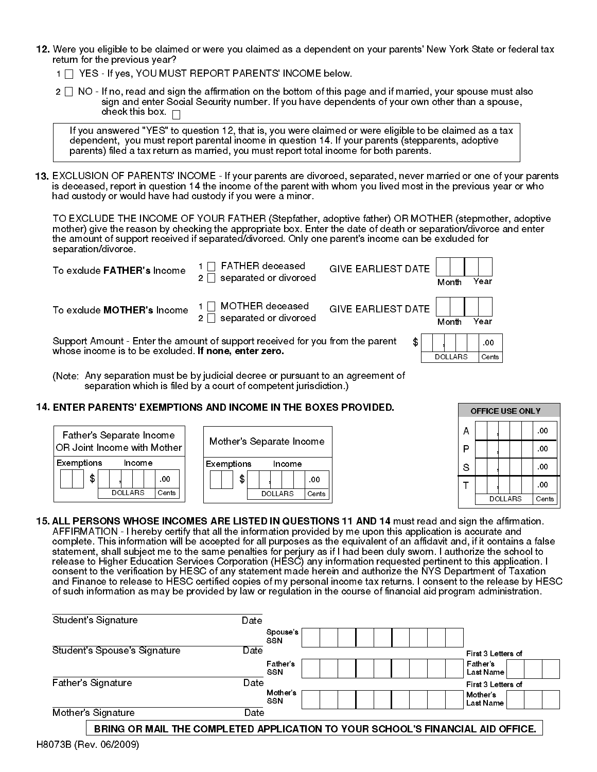- 12. Were you eligible to be claimed or were you claimed as a dependent on your parents' New York State or federal tax return for the previous year?
	- 1 | YES If yes, YOU MUST REPORT PARENTS' INCOME below.
	- $2 \square$  NO If no, read and sign the affirmation on the bottom of this page and if married, your spouse must also sign and enter Social Security number. If you have dependents of your own other than a spouse, check this box.  $\Box$

If you answered "YES" to question 12, that is, you were claimed or were eligible to be claimed as a tax dependent, you must report parental income in question 14. If your parents (stepparents, adoptive parents) filed a tax return as married, you must report total income for both parents.

EXCLUSION OF PARENTS' INCOME - If your parents are divorced, separated, never married or one of your parents 13. is deceased, report in question 14 the income of the parent with whom you lived most in the previous year or who had custody or would have had custody if you were a minor.

TO EXCLUDE THE INCOME OF YOUR FATHER (Stepfather, adoptive father) OR MOTHER (stepmother, adoptive mother) give the reason by checking the appropriate box. Enter the date of death or separation/divorce and enter the amount of support received if separated/divorced. Only one parent's income can be excluded for separation/divorce.



(Noteː Any separation must be by judicial decree or pursuant to an agreement of separation which is filed by a court of competent jurisdiction.)

### 14. ENTER PARENTS' EXEMPTIONS AND INCOME IN THE BOXES PROVIDED.

| Father's Separate Income                 | Mother's Separate Income    | Р |  |         | .00   |  |
|------------------------------------------|-----------------------------|---|--|---------|-------|--|
| $ {\sf OR}$ Joint Income with Mother $ $ |                             | E |  |         | .00   |  |
| Exemptions<br>Income                     | Exemptions<br><b>Income</b> | S |  |         | .00   |  |
| \$<br>.00                                | \$<br>.00                   |   |  |         | .00   |  |
| <b>DOLLARS</b><br>Cents                  | <b>DOLLARS</b><br>Cents     |   |  | DOLLARS | Cents |  |

|              | <b>OFFICE USE ONLY</b> |                |  |  |  |       |  |
|--------------|------------------------|----------------|--|--|--|-------|--|
| A            |                        |                |  |  |  | .00   |  |
| Ρ            |                        |                |  |  |  | .00   |  |
| S            |                        |                |  |  |  | .00   |  |
| $\mathsf{T}$ |                        |                |  |  |  | 00    |  |
|              |                        | <b>DOLLARS</b> |  |  |  | Cents |  |

15. ALL PERSONS WHOSE INCOMES ARE LISTED IN QUESTIONS 11 AND 14 must read and sign the affirmation. AFFIRMATION - I hereby certify that all the information provided by me upon this application is accurate and complete. This information will be accepted for all purposes as the equivalent of an affidavit and, if it contains a false statement, shall subject me to the same penalties for perjury as if I had been duly sworn. I authorize the school to release to Higher Education Services Corporation (HESC) any information requested pertinent to this application. I consent to the verification by HESC of any statement made herein and authorize the NYS Department of Taxation and Finance to release to HESC certified copies of my personal income tax returns. I consent to the release by HESC of such information as may be provided by law or regulation in the course of financial aid program administration.

| Student's Signature          | Date                   |                              |
|------------------------------|------------------------|------------------------------|
|                              | Spouse's<br>SSN        |                              |
| Student's Spouse's Signature | Date                   | First 3 Letters of           |
|                              | Father's<br>SSN        | <b>Father's</b><br>Last Name |
| <b>Father's Signature</b>    | Date                   | First 3 Letters of           |
|                              | Mother's<br><b>SSN</b> | Mother's<br>Last Name        |
| Mother's Signature           | Date                   |                              |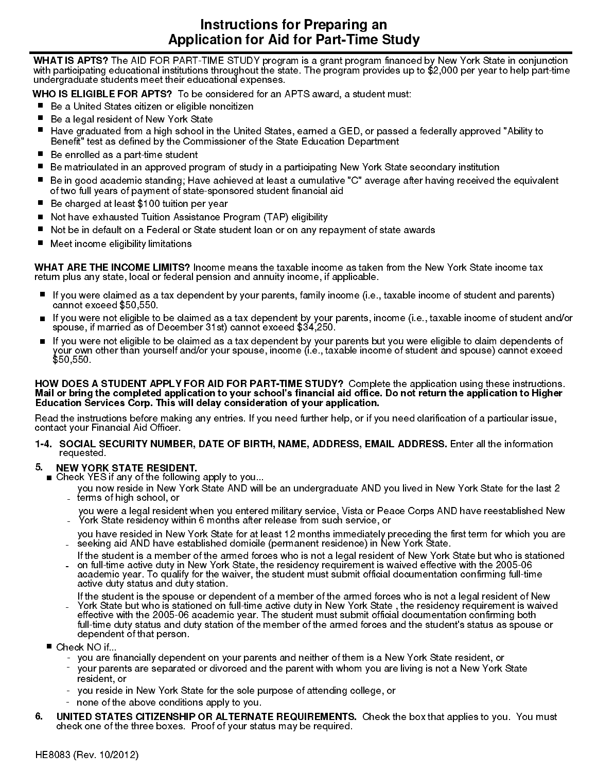## Instructions for Preparing an Application for Aid for Part-Time Study

WHAT IS APTS? The AID FOR PART-TIME STUDY program is a grant program financed by New York State in conjunction<br>with participating educational institutions throughout the state. The program provides up to \$2,000 per year to undergraduate students meet their educational expenses.

- 
- 
- **WHO IS ELIGIBLE FOR APTS?** To be considered for an APTS award, a student must:<br>■ Be a United States citizen or eligible noncitizen<br>■ Be a legal resident of New York State<br>■ Have graduated from a high school in the United ■ Have graduated from a high school in the United States, earned a GED, or passed a federally approved "Ability to<br>Benefit" test as defined by the Commissioner of the State Education Department<br>■ Be enrolled as a part-tim
- 
- 
- of two full years of payment of state-sponsored student financial aid ■ Be in good academic standing; Have achieved at of two full years of payment of state-sponsored st<br>■ Be charged at least \$100 tuition per year ...
- 
- Be charged at least :<br>■ Not have exhausted<br>■ Not be in default on Not have exhausted Tuition Assistance Program (TAP) eligibility
- Not have exhausted Tuition Assistance Program (TAP) eligibility<br>■ Not be in default on a Federal or State student loan or on any repayment of state awards<br>■ Meet income eligibility limitations
- 

WHAT ARE THE INCOME LIMITS? Income means the taxable income as taken from the New York State income tax<br>return plus any state, local or federal pension and annuity income, if applicable.

- 
- If you were claimed as a tax dependent by your parents, family income (i.e., taxable income of student and parents)<br>cannot exceed \$50,550.<br>If you were not eligible to be claimed as a tax dependent by your parents, income (
- your own other than yourself and/or your spouse, income (i.e., taxable income of student and spouse) cannot exceed<br>\$50,550.

### HOW DOES A STUDENT APPLY FOR AID FOR PART-TIME STUDY? Complete the application using these instructions. Mail or bring the completed application to your school's financial aid office. Do not return the application to Higher Education Services Corp. This will delay consideration of your application.

Read the instructions before making any entries. If you need further help, or if you need clarification of a particular issue, contact your Financial Aid Officer.

1-4. SOCIAL SECURITY NUMBER, DATE OF BIRTH, NAME, ADDRESS, EMAIL ADDRESS. Enter all the information requested.

- NEW YORK STATE RESIDENT. Check YES if any of the following apply to you...
	- you now reside in New York State AND will be an undergraduate AND you lived in New York State for the last 2 terms of high school, or
	- you were a legal resident when you entered military service, Vista or Peace Corps AND have reestablished New York State residency within 6 months after release from such service, or
	- you have resided in New York State for at least 12 months immediately preceding the first term for which you are seeking aid AND have established domicile (permanent residence) in New York State.
	- on full-time active duty in New York State, the residency requirement is waived effective with the 2005-06 If the student is a member of the armed forces who is not a legal resident of New York State but who is stationed
	- academic year. To qualify for the waiver, the student must submit official documentation confirming full-time active duty status and duty station.
- tull-time duty status and duty station of the member of the armed forces and the student's status as spouse or<br>■ Check NO if... Check NO if... - York State but who is stationed on full-time active duty in New York State , the residency requirement is waived If the student is the spouse or dependent of a member of the armed forces who is not a legal resident of New effective with the 2005-06 academic year. The student must submit official documentation confirming both dependent of that person.
- - you are financially dependent on your parents and neither of them is a New York State resident, or
	- your parents are separated or divorced and the parent with whom you are living is not a New York State resident, or
	- you reside in New York State for the sole purpose of attending college, or
	- none of the above conditions apply to you.
- 6. UNITED STATES CITIZENSHIP OR ALTERNATE REQUIREMENTS. Check the box that applies to you. You must check one of the three boxes. Proof of your status may be required.